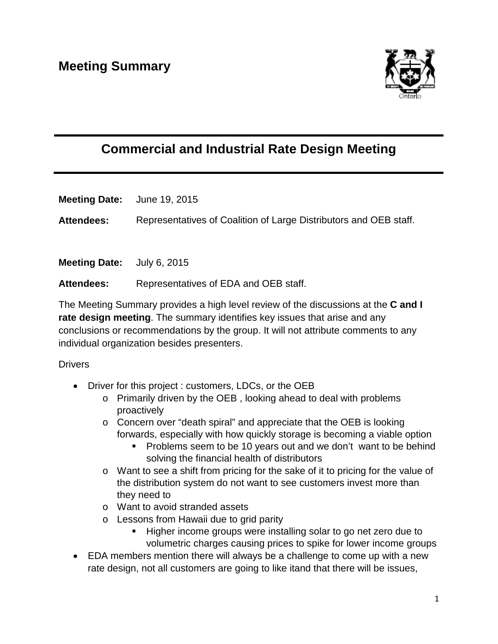

## **Commercial and Industrial Rate Design Meeting**

**Meeting Date:** June 19, 2015

**Attendees:** Representatives of Coalition of Large Distributors and OEB staff.

**Meeting Date:** July 6, 2015

**Attendees:** Representatives of EDA and OEB staff.

The Meeting Summary provides a high level review of the discussions at the **C and I rate design meeting**. The summary identifies key issues that arise and any conclusions or recommendations by the group. It will not attribute comments to any individual organization besides presenters.

## **Drivers**

- Driver for this project : customers, LDCs, or the OEB
	- o Primarily driven by the OEB , looking ahead to deal with problems proactively
	- o Concern over "death spiral" and appreciate that the OEB is looking forwards, especially with how quickly storage is becoming a viable option
		- Problems seem to be 10 years out and we don't want to be behind solving the financial health of distributors
	- o Want to see a shift from pricing for the sake of it to pricing for the value of the distribution system do not want to see customers invest more than they need to
	- o Want to avoid stranded assets
	- o Lessons from Hawaii due to grid parity
		- Higher income groups were installing solar to go net zero due to volumetric charges causing prices to spike for lower income groups
- EDA members mention there will always be a challenge to come up with a new rate design, not all customers are going to like itand that there will be issues,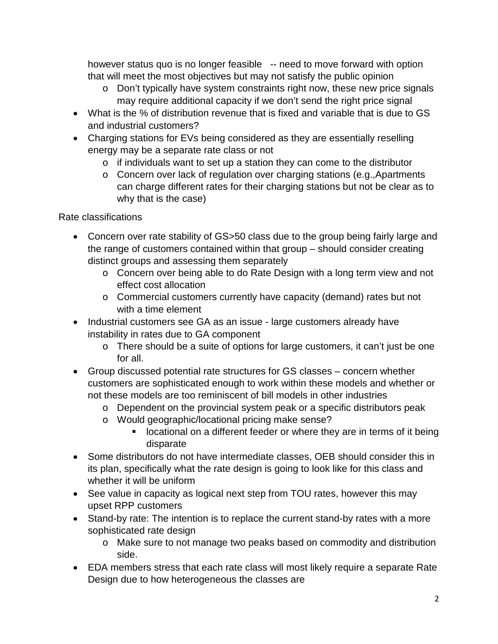however status quo is no longer feasible -- need to move forward with option that will meet the most objectives but may not satisfy the public opinion

- o Don't typically have system constraints right now, these new price signals may require additional capacity if we don't send the right price signal
- What is the % of distribution revenue that is fixed and variable that is due to GS and industrial customers?
- Charging stations for EVs being considered as they are essentially reselling energy may be a separate rate class or not
	- o if individuals want to set up a station they can come to the distributor
	- o Concern over lack of regulation over charging stations (e.g.,Apartments can charge different rates for their charging stations but not be clear as to why that is the case)

Rate classifications

- Concern over rate stability of GS>50 class due to the group being fairly large and the range of customers contained within that group – should consider creating distinct groups and assessing them separately
	- o Concern over being able to do Rate Design with a long term view and not effect cost allocation
	- o Commercial customers currently have capacity (demand) rates but not with a time element
- Industrial customers see GA as an issue large customers already have instability in rates due to GA component
	- o There should be a suite of options for large customers, it can't just be one for all.
- Group discussed potential rate structures for GS classes concern whether customers are sophisticated enough to work within these models and whether or not these models are too reminiscent of bill models in other industries
	- o Dependent on the provincial system peak or a specific distributors peak
	- o Would geographic/locational pricing make sense?
		- **If** locational on a different feeder or where they are in terms of it being disparate
- Some distributors do not have intermediate classes, OEB should consider this in its plan, specifically what the rate design is going to look like for this class and whether it will be uniform
- See value in capacity as logical next step from TOU rates, however this may upset RPP customers
- Stand-by rate: The intention is to replace the current stand-by rates with a more sophisticated rate design
	- o Make sure to not manage two peaks based on commodity and distribution side.
- EDA members stress that each rate class will most likely require a separate Rate Design due to how heterogeneous the classes are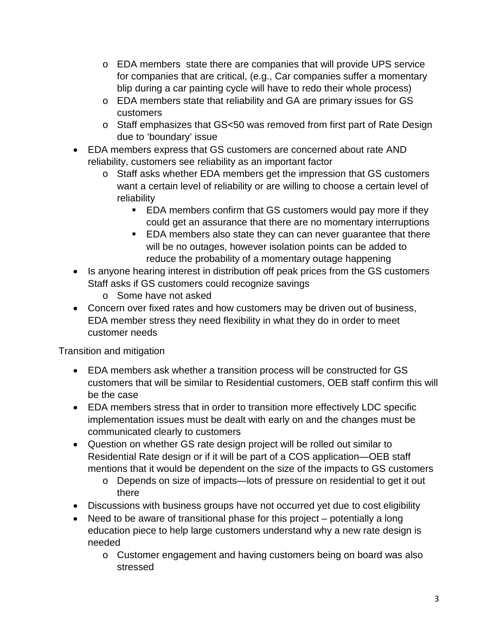- $\circ$  EDA members state there are companies that will provide UPS service for companies that are critical, (e.g., Car companies suffer a momentary blip during a car painting cycle will have to redo their whole process)
- o EDA members state that reliability and GA are primary issues for GS customers
- o Staff emphasizes that GS<50 was removed from first part of Rate Design due to 'boundary' issue
- EDA members express that GS customers are concerned about rate AND reliability, customers see reliability as an important factor
	- o Staff asks whether EDA members get the impression that GS customers want a certain level of reliability or are willing to choose a certain level of reliability
		- **EDA members confirm that GS customers would pay more if they** could get an assurance that there are no momentary interruptions
		- **EDA** members also state they can can never guarantee that there will be no outages, however isolation points can be added to reduce the probability of a momentary outage happening
- Is anyone hearing interest in distribution off peak prices from the GS customers Staff asks if GS customers could recognize savings
	- o Some have not asked
- Concern over fixed rates and how customers may be driven out of business, EDA member stress they need flexibility in what they do in order to meet customer needs

Transition and mitigation

- EDA members ask whether a transition process will be constructed for GS customers that will be similar to Residential customers, OEB staff confirm this will be the case
- EDA members stress that in order to transition more effectively LDC specific implementation issues must be dealt with early on and the changes must be communicated clearly to customers
- Question on whether GS rate design project will be rolled out similar to Residential Rate design or if it will be part of a COS application—OEB staff mentions that it would be dependent on the size of the impacts to GS customers
	- o Depends on size of impacts—lots of pressure on residential to get it out there
- Discussions with business groups have not occurred yet due to cost eligibility
- Need to be aware of transitional phase for this project potentially a long education piece to help large customers understand why a new rate design is needed
	- o Customer engagement and having customers being on board was also stressed